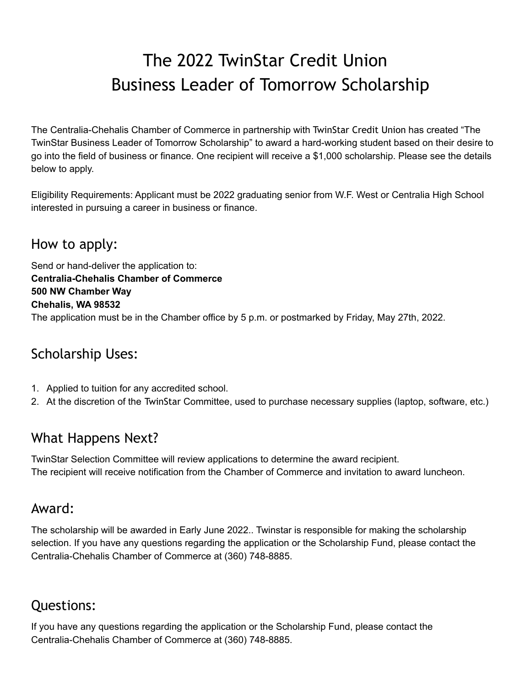## The 2022 TwinStar Credit Union Business Leader of Tomorrow Scholarship

The Centralia-Chehalis Chamber of Commerce in partnership with TwinStar Credit Union has created "The TwinStar Business Leader of Tomorrow Scholarship" to award a hard-working student based on their desire to go into the field of business or finance. One recipient will receive a \$1,000 scholarship. Please see the details below to apply.

Eligibility Requirements: Applicant must be 2022 graduating senior from W.F. West or Centralia High School interested in pursuing a career in business or finance.

### How to apply:

Send or hand-deliver the application to: **Centralia-Chehalis Chamber of Commerce 500 NW Chamber Way Chehalis, WA 98532** The application must be in the Chamber office by 5 p.m. or postmarked by Friday, May 27th, 2022.

### Scholarship Uses:

- 1. Applied to tuition for any accredited school.
- 2. At the discretion of the TwinStar Committee, used to purchase necessary supplies (laptop, software, etc.)

#### What Happens Next?

TwinStar Selection Committee will review applications to determine the award recipient. The recipient will receive notification from the Chamber of Commerce and invitation to award luncheon.

#### Award:

The scholarship will be awarded in Early June 2022.. Twinstar is responsible for making the scholarship selection. If you have any questions regarding the application or the Scholarship Fund, please contact the Centralia-Chehalis Chamber of Commerce at (360) 748-8885.

#### Questions:

If you have any questions regarding the application or the Scholarship Fund, please contact the Centralia-Chehalis Chamber of Commerce at (360) 748-8885.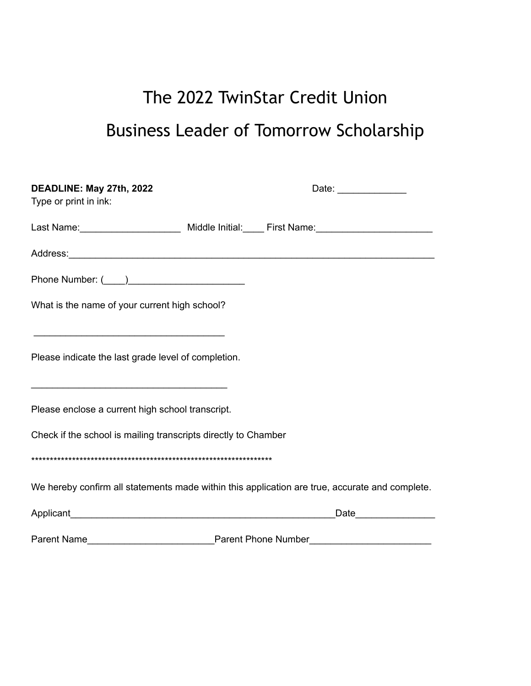# The 2022 TwinStar Credit Union Business Leader of Tomorrow Scholarship

| DEADLINE: May 27th, 2022                                       | Date: _______________                                                                               |
|----------------------------------------------------------------|-----------------------------------------------------------------------------------------------------|
| Type or print in ink:                                          |                                                                                                     |
|                                                                | Last Name: __________________________ Middle Initial: _____ First Name: ___________________________ |
|                                                                |                                                                                                     |
|                                                                |                                                                                                     |
| What is the name of your current high school?                  |                                                                                                     |
|                                                                |                                                                                                     |
| Please indicate the last grade level of completion.            |                                                                                                     |
| Please enclose a current high school transcript.               |                                                                                                     |
| Check if the school is mailing transcripts directly to Chamber |                                                                                                     |
|                                                                |                                                                                                     |
|                                                                | We hereby confirm all statements made within this application are true, accurate and complete.      |
|                                                                | _Date__________________                                                                             |
|                                                                |                                                                                                     |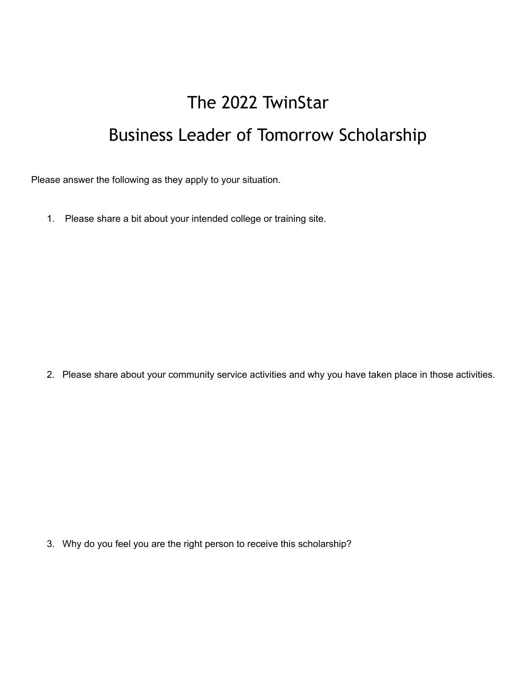# The 2022 TwinStar Business Leader of Tomorrow Scholarship

Please answer the following as they apply to your situation.

1. Please share a bit about your intended college or training site.

2. Please share about your community service activities and why you have taken place in those activities.

3. Why do you feel you are the right person to receive this scholarship?